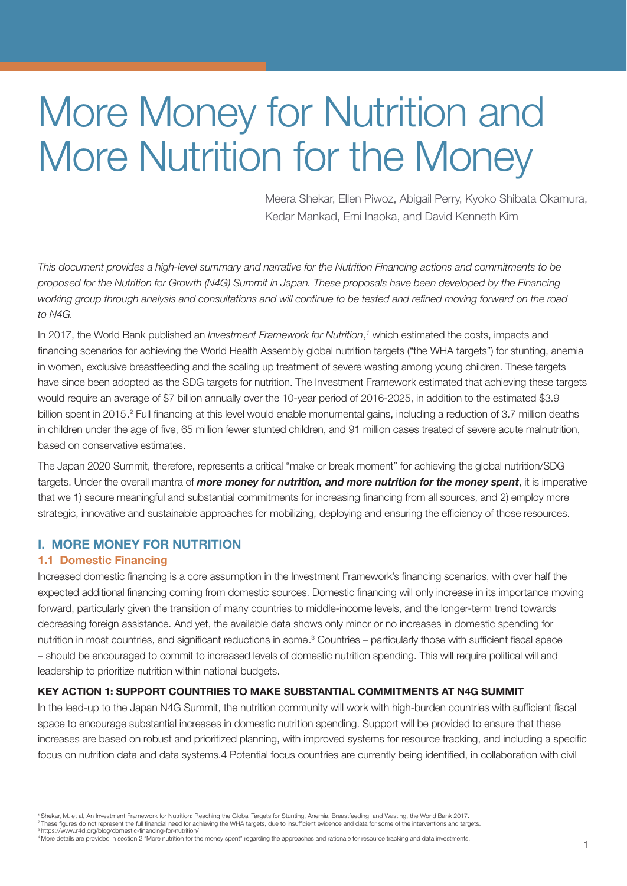# More Money for Nutrition and More Nutrition for the Money

 Meera Shekar, Ellen Piwoz, Abigail Perry, Kyoko Shibata Okamura, Kedar Mankad, Emi Inaoka, and David Kenneth Kim

*This document provides a high-level summary and narrative for the Nutrition Financing actions and commitments to be proposed for the Nutrition for Growth (N4G) Summit in Japan. These proposals have been developed by the Financing working group through analysis and consultations and will continue to be tested and refined moving forward on the road to N4G.*

In 2017, the World Bank published an *Investment Framework for Nutrition*,<sup>1</sup> which estimated the costs, impacts and financing scenarios for achieving the World Health Assembly global nutrition targets ("the WHA targets") for stunting, anemia in women, exclusive breastfeeding and the scaling up treatment of severe wasting among young children. These targets have since been adopted as the SDG targets for nutrition. The Investment Framework estimated that achieving these targets would require an average of \$7 billion annually over the 10-year period of 2016-2025, in addition to the estimated \$3.9 billion spent in 2015.<sup>2</sup> Full financing at this level would enable monumental gains, including a reduction of 3.7 million deaths in children under the age of five, 65 million fewer stunted children, and 91 million cases treated of severe acute malnutrition, based on conservative estimates.

The Japan 2020 Summit, therefore, represents a critical "make or break moment" for achieving the global nutrition/SDG targets. Under the overall mantra of *more money for nutrition, and more nutrition for the money spent*, it is imperative that we 1) secure meaningful and substantial commitments for increasing financing from all sources, and 2) employ more strategic, innovative and sustainable approaches for mobilizing, deploying and ensuring the efficiency of those resources.

## I. MORE MONEY FOR NUTRITION

## 1.1 Domestic Financing

Increased domestic financing is a core assumption in the Investment Framework's financing scenarios, with over half the expected additional financing coming from domestic sources. Domestic financing will only increase in its importance moving forward, particularly given the transition of many countries to middle-income levels, and the longer-term trend towards decreasing foreign assistance. And yet, the available data shows only minor or no increases in domestic spending for nutrition in most countries, and significant reductions in some.<sup>3</sup> Countries – particularly those with sufficient fiscal space – should be encouraged to commit to increased levels of domestic nutrition spending. This will require political will and leadership to prioritize nutrition within national budgets.

#### KEY ACTION 1: SUPPORT COUNTRIES TO MAKE SUBSTANTIAL COMMITMENTS AT N4G SUMMIT

In the lead-up to the Japan N4G Summit, the nutrition community will work with high-burden countries with sufficient fiscal space to encourage substantial increases in domestic nutrition spending. Support will be provided to ensure that these increases are based on robust and prioritized planning, with improved systems for resource tracking, and including a specific focus on nutrition data and data systems.4 Potential focus countries are currently being identified, in collaboration with civil

3 https://www.r4d.org/blog/domestic-financing-for-nutrition/

<sup>&#</sup>x27; Shekar, M. et al, An Investment Framework for Nutrition: Reaching the Global Targets for Stunting, Anemia, Breastfeeding, and Wasting, the World Bank 2017.<br><sup>2</sup> These figures do not represent the full financial need for a

<sup>4</sup> More details are provided in section 2 "More nutrition for the money spent" regarding the approaches and rationale for resource tracking and data investments.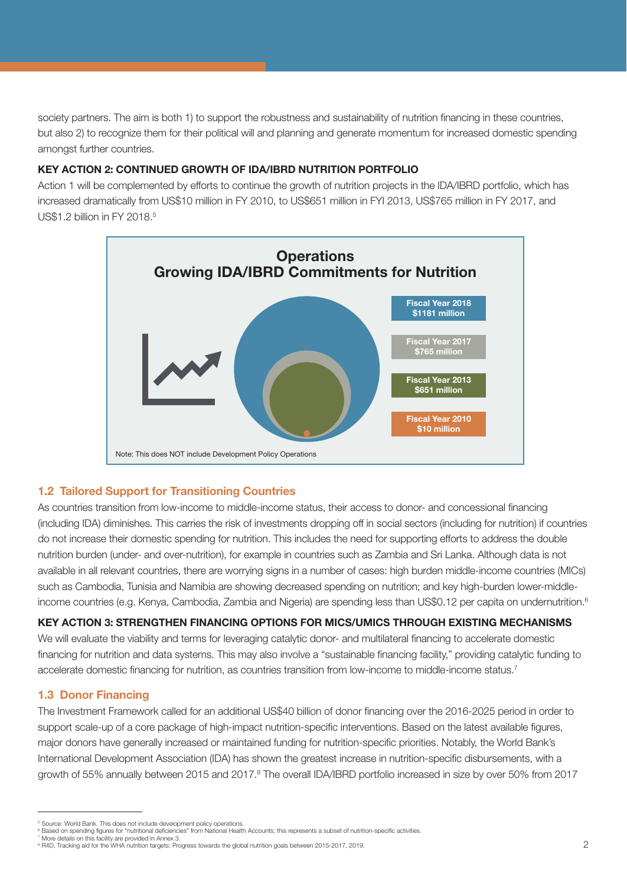society partners. The aim is both 1) to support the robustness and sustainability of nutrition financing in these countries, but also 2) to recognize them for their political will and planning and generate momentum for increased domestic spending amongst further countries.

## KEY ACTION 2: CONTINUED GROWTH OF IDA/IBRD NUTRITION PORTFOLIO

Action 1 will be complemented by efforts to continue the growth of nutrition projects in the IDA/IBRD portfolio, which has increased dramatically from US\$10 million in FY 2010, to US\$651 million in FYI 2013, US\$765 million in FY 2017, and US\$1.2 billion in FY 2018.5



# 1.2 Tailored Support for Transitioning Countries

As countries transition from low-income to middle-income status, their access to donor- and concessional financing (including IDA) diminishes. This carries the risk of investments dropping off in social sectors (including for nutrition) if countries do not increase their domestic spending for nutrition. This includes the need for supporting efforts to address the double nutrition burden (under- and over-nutrition), for example in countries such as Zambia and Sri Lanka. Although data is not available in all relevant countries, there are worrying signs in a number of cases: high burden middle-income countries (MICs) such as Cambodia, Tunisia and Namibia are showing decreased spending on nutrition; and key high-burden lower-middleincome countries (e.g. Kenya, Cambodia, Zambia and Nigeria) are spending less than US\$0.12 per capita on undernutrition.<sup>6</sup>

## KEY ACTION 3: STRENGTHEN FINANCING OPTIONS FOR MICS/UMICS THROUGH EXISTING MECHANISMS

We will evaluate the viability and terms for leveraging catalytic donor- and multilateral financing to accelerate domestic financing for nutrition and data systems. This may also involve a "sustainable financing facility," providing catalytic funding to accelerate domestic financing for nutrition, as countries transition from low-income to middle-income status.<sup>7</sup>

## 1.3 Donor Financing

The Investment Framework called for an additional US\$40 billion of donor financing over the 2016-2025 period in order to support scale-up of a core package of high-impact nutrition-specific interventions. Based on the latest available figures, major donors have generally increased or maintained funding for nutrition-specific priorities. Notably, the World Bank's International Development Association (IDA) has shown the greatest increase in nutrition-specific disbursements, with a growth of 55% annually between 2015 and 2017.<sup>8</sup> The overall IDA/IBRD portfolio increased in size by over 50% from 2017

<sup>5</sup> Source: World Bank. This does not include development policy operations.

<sup>&</sup>lt;sup>6</sup> Based on spending figures for "nutritional deficiencies" from National Health Accounts; this represents a subset of nutrition-specific activities. More details on this facility are provided in Annex 3.

<sup>&</sup>lt;sup>8</sup> R4D, Tracking aid for the WHA nutrition targets: Progress towards the global nutrition goals between 2015-2017, 2019.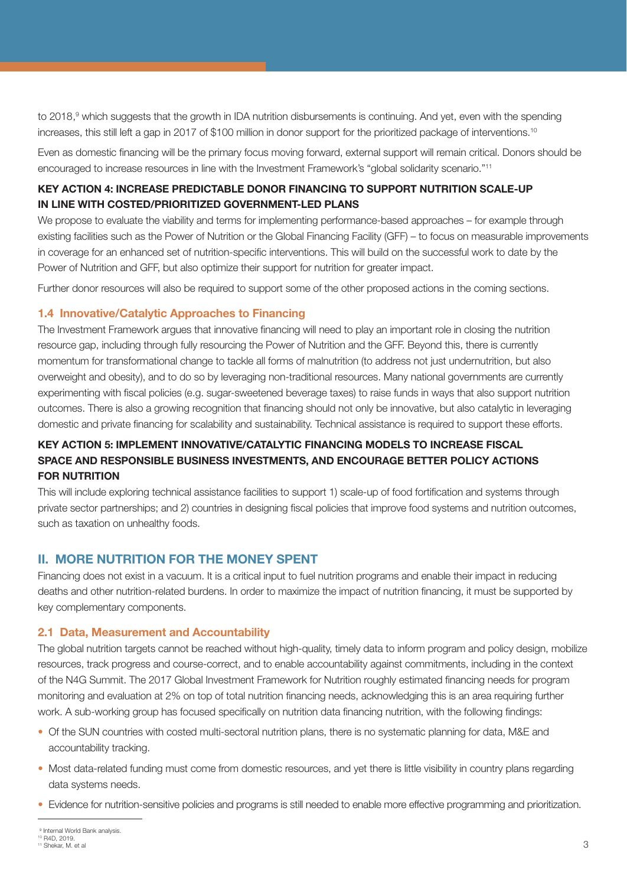to 2018,<sup>9</sup> which suggests that the growth in IDA nutrition disbursements is continuing. And yet, even with the spending increases, this still left a gap in 2017 of \$100 million in donor support for the prioritized package of interventions.<sup>10</sup>

Even as domestic financing will be the primary focus moving forward, external support will remain critical. Donors should be encouraged to increase resources in line with the Investment Framework's "global solidarity scenario."11

## KEY ACTION 4: INCREASE PREDICTABLE DONOR FINANCING TO SUPPORT NUTRITION SCALE-UP IN LINE WITH COSTED/PRIORITIZED GOVERNMENT-LED PLANS

We propose to evaluate the viability and terms for implementing performance-based approaches – for example through existing facilities such as the Power of Nutrition or the Global Financing Facility (GFF) – to focus on measurable improvements in coverage for an enhanced set of nutrition-specific interventions. This will build on the successful work to date by the Power of Nutrition and GFF, but also optimize their support for nutrition for greater impact.

Further donor resources will also be required to support some of the other proposed actions in the coming sections.

## 1.4 Innovative/Catalytic Approaches to Financing

The Investment Framework argues that innovative financing will need to play an important role in closing the nutrition resource gap, including through fully resourcing the Power of Nutrition and the GFF. Beyond this, there is currently momentum for transformational change to tackle all forms of malnutrition (to address not just undernutrition, but also overweight and obesity), and to do so by leveraging non-traditional resources. Many national governments are currently experimenting with fiscal policies (e.g. sugar-sweetened beverage taxes) to raise funds in ways that also support nutrition outcomes. There is also a growing recognition that financing should not only be innovative, but also catalytic in leveraging domestic and private financing for scalability and sustainability. Technical assistance is required to support these efforts.

# KEY ACTION 5: IMPLEMENT INNOVATIVE/CATALYTIC FINANCING MODELS TO INCREASE FISCAL SPACE AND RESPONSIBLE BUSINESS INVESTMENTS, AND ENCOURAGE BETTER POLICY ACTIONS FOR NUTRITION

This will include exploring technical assistance facilities to support 1) scale-up of food fortification and systems through private sector partnerships; and 2) countries in designing fiscal policies that improve food systems and nutrition outcomes, such as taxation on unhealthy foods.

# II. MORE NUTRITION FOR THE MONEY SPENT

Financing does not exist in a vacuum. It is a critical input to fuel nutrition programs and enable their impact in reducing deaths and other nutrition-related burdens. In order to maximize the impact of nutrition financing, it must be supported by key complementary components.

## 2.1 Data, Measurement and Accountability

The global nutrition targets cannot be reached without high-quality, timely data to inform program and policy design, mobilize resources, track progress and course-correct, and to enable accountability against commitments, including in the context of the N4G Summit. The 2017 Global Investment Framework for Nutrition roughly estimated financing needs for program monitoring and evaluation at 2% on top of total nutrition financing needs, acknowledging this is an area requiring further work. A sub-working group has focused specifically on nutrition data financing nutrition, with the following findings:

- Of the SUN countries with costed multi-sectoral nutrition plans, there is no systematic planning for data, M&E and accountability tracking.
- Most data-related funding must come from domestic resources, and yet there is little visibility in country plans regarding data systems needs.
- Evidence for nutrition-sensitive policies and programs is still needed to enable more effective programming and prioritization.

<sup>&</sup>lt;sup>9</sup> Internal World Bank analysis.

<sup>10</sup> R4D, 2019. 11 Shekar, M. et al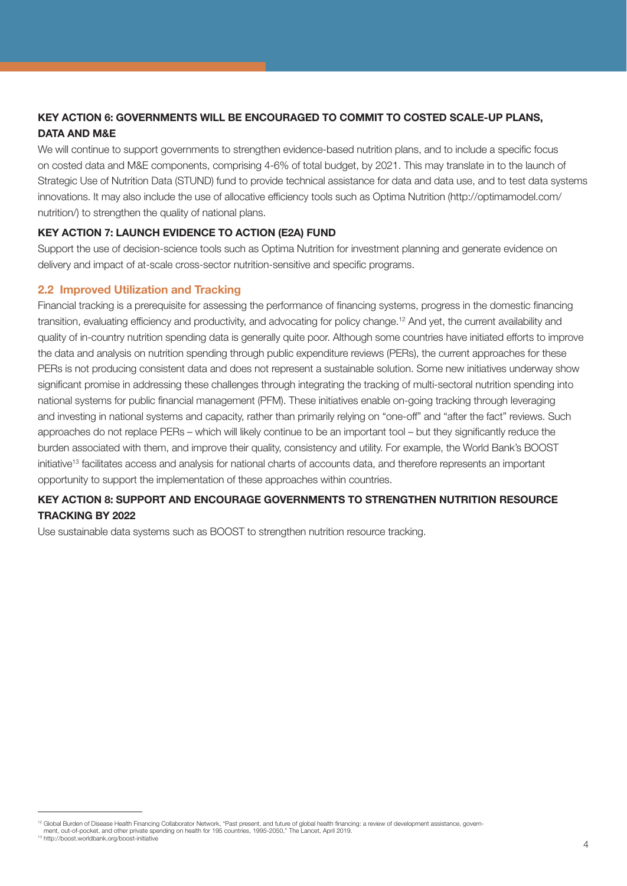# KEY ACTION 6: GOVERNMENTS WILL BE ENCOURAGED TO COMMIT TO COSTED SCALE-UP PLANS, DATA AND M&E

We will continue to support governments to strengthen evidence-based nutrition plans, and to include a specific focus on costed data and M&E components, comprising 4-6% of total budget, by 2021. This may translate in to the launch of Strategic Use of Nutrition Data (STUND) fund to provide technical assistance for data and data use, and to test data systems innovations. It may also include the use of allocative efficiency tools such as Optima Nutrition (http://optimamodel.com/ nutrition/) to strengthen the quality of national plans.

## KEY ACTION 7: LAUNCH EVIDENCE TO ACTION (E2A) FUND

Support the use of decision-science tools such as Optima Nutrition for investment planning and generate evidence on delivery and impact of at-scale cross-sector nutrition-sensitive and specific programs.

## 2.2 Improved Utilization and Tracking

Financial tracking is a prerequisite for assessing the performance of financing systems, progress in the domestic financing transition, evaluating efficiency and productivity, and advocating for policy change.12 And yet, the current availability and quality of in-country nutrition spending data is generally quite poor. Although some countries have initiated efforts to improve the data and analysis on nutrition spending through public expenditure reviews (PERs), the current approaches for these PERs is not producing consistent data and does not represent a sustainable solution. Some new initiatives underway show significant promise in addressing these challenges through integrating the tracking of multi-sectoral nutrition spending into national systems for public financial management (PFM). These initiatives enable on-going tracking through leveraging and investing in national systems and capacity, rather than primarily relying on "one-off" and "after the fact" reviews. Such approaches do not replace PERs – which will likely continue to be an important tool – but they significantly reduce the burden associated with them, and improve their quality, consistency and utility. For example, the World Bank's BOOST initiative<sup>13</sup> facilitates access and analysis for national charts of accounts data, and therefore represents an important opportunity to support the implementation of these approaches within countries.

## KEY ACTION 8: SUPPORT AND ENCOURAGE GOVERNMENTS TO STRENGTHEN NUTRITION RESOURCE TRACKING BY 2022

Use sustainable data systems such as BOOST to strengthen nutrition resource tracking.

<sup>12</sup> Global Burden of Disease Health Financing Collaborator Network, "Past present, and future of global health financing: a review of development assistance, govern-

ment, out-of-pocket, and other private spending on health for 195 countries, 1995-2050," The Lancet, April 2019.

<sup>13</sup> http://boost.worldbank.org/boost-initiative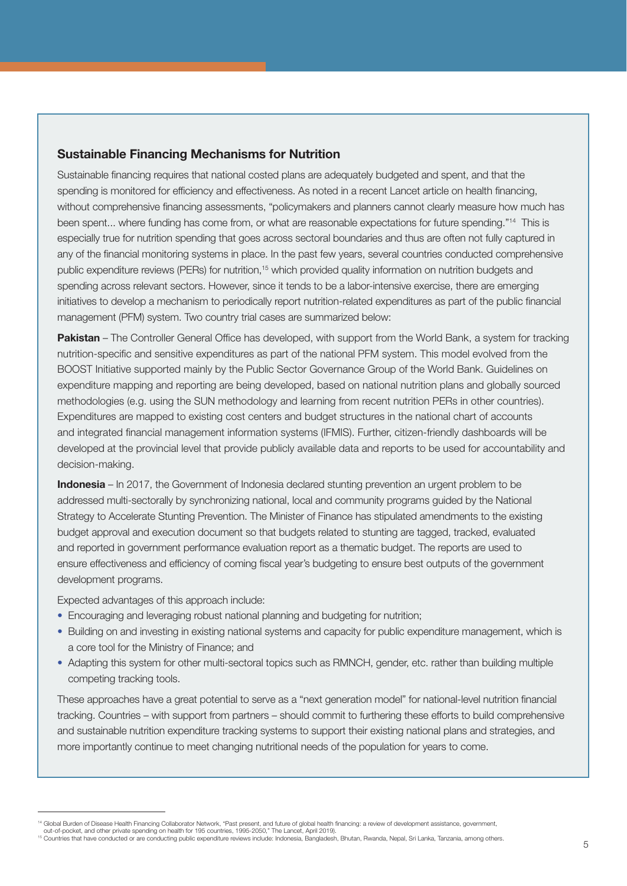## Sustainable Financing Mechanisms for Nutrition

Sustainable financing requires that national costed plans are adequately budgeted and spent, and that the spending is monitored for efficiency and effectiveness. As noted in a recent Lancet article on health financing, without comprehensive financing assessments, "policymakers and planners cannot clearly measure how much has been spent... where funding has come from, or what are reasonable expectations for future spending."14 This is especially true for nutrition spending that goes across sectoral boundaries and thus are often not fully captured in any of the financial monitoring systems in place. In the past few years, several countries conducted comprehensive public expenditure reviews (PERs) for nutrition,<sup>15</sup> which provided quality information on nutrition budgets and spending across relevant sectors. However, since it tends to be a labor-intensive exercise, there are emerging initiatives to develop a mechanism to periodically report nutrition-related expenditures as part of the public financial management (PFM) system. Two country trial cases are summarized below:

Pakistan – The Controller General Office has developed, with support from the World Bank, a system for tracking nutrition-specific and sensitive expenditures as part of the national PFM system. This model evolved from the BOOST Initiative supported mainly by the Public Sector Governance Group of the World Bank. Guidelines on expenditure mapping and reporting are being developed, based on national nutrition plans and globally sourced methodologies (e.g. using the SUN methodology and learning from recent nutrition PERs in other countries). Expenditures are mapped to existing cost centers and budget structures in the national chart of accounts and integrated financial management information systems (IFMIS). Further, citizen-friendly dashboards will be developed at the provincial level that provide publicly available data and reports to be used for accountability and decision-making.

Indonesia – In 2017, the Government of Indonesia declared stunting prevention an urgent problem to be addressed multi-sectorally by synchronizing national, local and community programs guided by the National Strategy to Accelerate Stunting Prevention. The Minister of Finance has stipulated amendments to the existing budget approval and execution document so that budgets related to stunting are tagged, tracked, evaluated and reported in government performance evaluation report as a thematic budget. The reports are used to ensure effectiveness and efficiency of coming fiscal year's budgeting to ensure best outputs of the government development programs.

Expected advantages of this approach include:

- Encouraging and leveraging robust national planning and budgeting for nutrition;
- Building on and investing in existing national systems and capacity for public expenditure management, which is a core tool for the Ministry of Finance; and
- Adapting this system for other multi-sectoral topics such as RMNCH, gender, etc. rather than building multiple competing tracking tools.

These approaches have a great potential to serve as a "next generation model" for national-level nutrition financial tracking. Countries – with support from partners – should commit to furthering these efforts to build comprehensive and sustainable nutrition expenditure tracking systems to support their existing national plans and strategies, and more importantly continue to meet changing nutritional needs of the population for years to come.

<sup>&</sup>lt;sup>14</sup> Global Burden of Disease Health Financing Collaborator Network, "Past present, and future of global health financing: a review of development assistance, government,<br>out-of-pocket, and other private spending on health

<sup>15</sup> Countries that have conducted or are conducting public expenditure reviews include: Indonesia, Bangladesh, Bhutan, Rwanda, Nepal, Sri Lanka, Tanzania, among others.